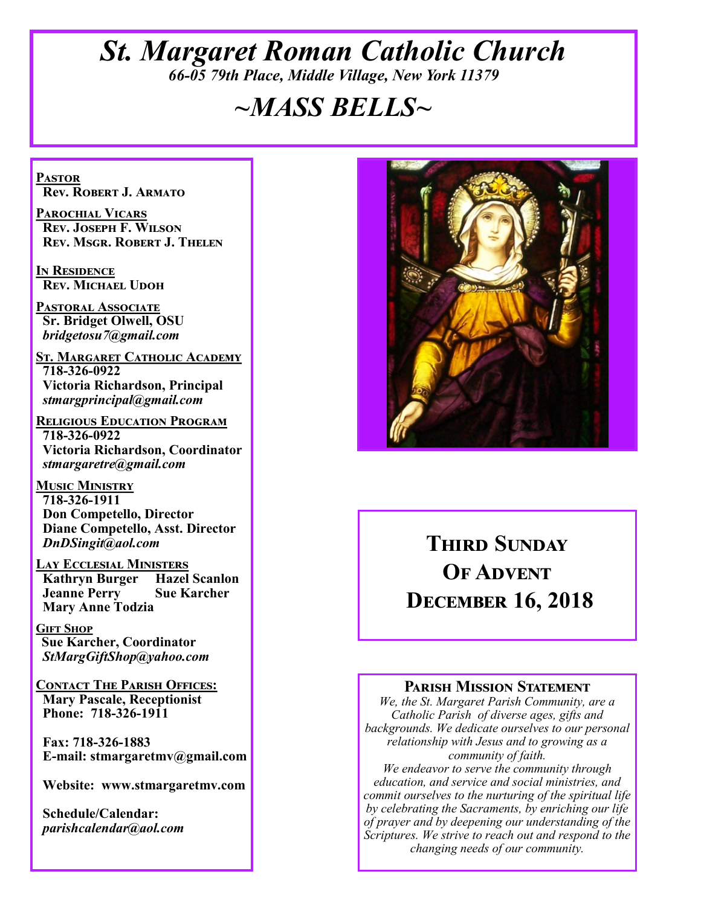# *St. Margaret Roman Catholic Church 66-05 79th Place, Middle Village, New York 11379*

# *~MASS BELLS~*

**Pastor Rev. Robert J. Armato**

**Parochial Vicars Rev. Joseph F. Wilson Rev. Msgr. Robert J. Thelen**

**In Residence Rev. Michael Udoh**

**Pastoral Associate Sr. Bridget Olwell, OSU**  *bridgetosu7@gmail.com*

**St. Margaret Catholic Academy 718-326-0922 Victoria Richardson, Principal**  *stmargprincipal@gmail.com*

**Religious Education Program 718-326-0922 Victoria Richardson, Coordinator** *stmargaretre@gmail.com*

**Music Ministry 718-326-1911 Don Competello, Director Diane Competello, Asst. Director** *DnDSingit@aol.com*

**Lay Ecclesial Ministers Kathryn Burger Jeanne Perry Sue Karcher Mary Anne Todzia**

**Gift Shop Sue Karcher, Coordinator** *StMargGiftShop@yahoo.com*

**Contact The Parish Offices: Mary Pascale, Receptionist Phone: 718-326-1911** 

 **Fax: 718-326-1883 E-mail: stmargaretmv@gmail.com**

 **Website: www.stmargaretmv.com**

 **Schedule/Calendar:** *parishcalendar@aol.com* 



# **THIRD SUNDAY OF ADVENT December 16, 2018**

#### **Parish Mission Statement**

*We, the St. Margaret Parish Community, are a Catholic Parish of diverse ages, gifts and backgrounds. We dedicate ourselves to our personal relationship with Jesus and to growing as a community of faith.*

*We endeavor to serve the community through education, and service and social ministries, and commit ourselves to the nurturing of the spiritual life by celebrating the Sacraments, by enriching our life of prayer and by deepening our understanding of the Scriptures. We strive to reach out and respond to the changing needs of our community.*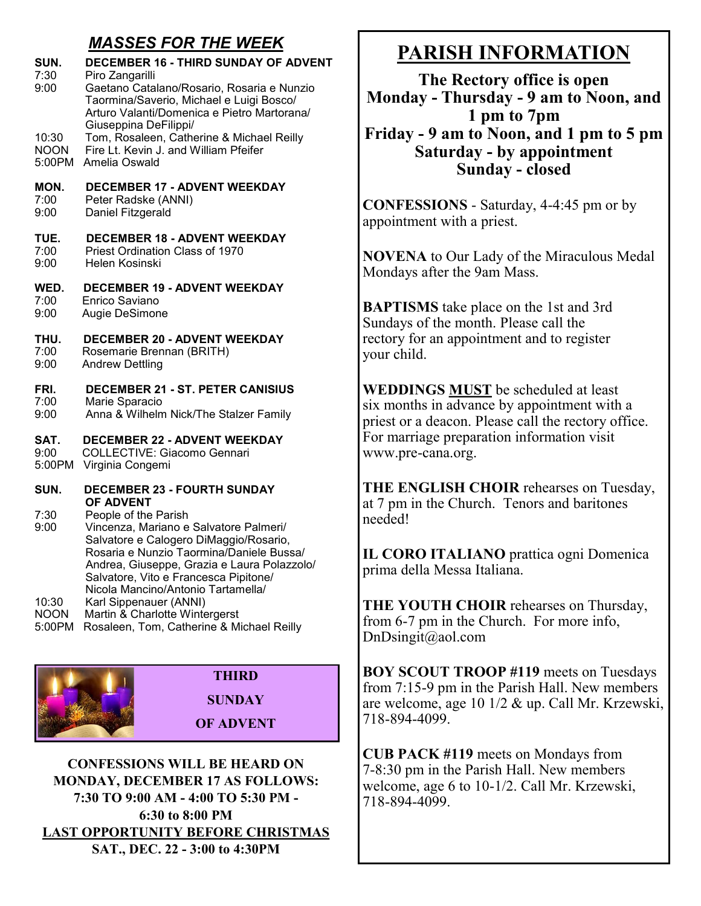## *MASSES FOR THE WEEK*

| SUN.        | <b>DECEMBER 16 - THIRD SUNDAY OF ADVENT</b>                                                                                                                                                                                                                |
|-------------|------------------------------------------------------------------------------------------------------------------------------------------------------------------------------------------------------------------------------------------------------------|
| 7:30        | Piro Zangarilli                                                                                                                                                                                                                                            |
| 9:00        | Gaetano Catalano/Rosario, Rosaria e Nunzio                                                                                                                                                                                                                 |
|             | Taormina/Saverio, Michael e Luigi Bosco/<br>Arturo Valanti/Domenica e Pietro Martorana/<br>Giuseppina DeFilippi/                                                                                                                                           |
| 10:30       | Tom, Rosaleen, Catherine & Michael Reilly                                                                                                                                                                                                                  |
| <b>NOON</b> | Fire Lt. Kevin J. and William Pfeifer                                                                                                                                                                                                                      |
| 5:00PM      | Amelia Oswald                                                                                                                                                                                                                                              |
| MON.        | <b>DECEMBER 17 - ADVENT WEEKDAY</b>                                                                                                                                                                                                                        |
| 7:00        | Peter Radske (ANNI)                                                                                                                                                                                                                                        |
| 9:00        | Daniel Fitzgerald                                                                                                                                                                                                                                          |
| TUE.        | <b>DECEMBER 18 - ADVENT WEEKDAY</b>                                                                                                                                                                                                                        |
| 7:00        | Priest Ordination Class of 1970                                                                                                                                                                                                                            |
| 9:00        | Helen Kosinski                                                                                                                                                                                                                                             |
| WED.        | <b>DECEMBER 19 - ADVENT WEEKDAY</b>                                                                                                                                                                                                                        |
| 7:00        | Enrico Saviano                                                                                                                                                                                                                                             |
| 9:00        | Augie DeSimone                                                                                                                                                                                                                                             |
| THU.        | <b>DECEMBER 20 - ADVENT WEEKDAY</b>                                                                                                                                                                                                                        |
| 7:00        | Rosemarie Brennan (BRITH)                                                                                                                                                                                                                                  |
| 9:00        | <b>Andrew Dettling</b>                                                                                                                                                                                                                                     |
| FRI.        | <b>DECEMBER 21 - ST. PETER CANISIUS</b>                                                                                                                                                                                                                    |
| 7:00        | Marie Sparacio                                                                                                                                                                                                                                             |
| 9:00        | Anna & Wilhelm Nick/The Stalzer Family                                                                                                                                                                                                                     |
| SAT.        | <b>DECEMBER 22 - ADVENT WEEKDAY</b>                                                                                                                                                                                                                        |
| 9:00        | <b>COLLECTIVE: Giacomo Gennari</b>                                                                                                                                                                                                                         |
| 5:00PM      | Virginia Congemi                                                                                                                                                                                                                                           |
| SUN.        | <b>DECEMBER 23 - FOURTH SUNDAY</b><br><b>OF ADVENT</b>                                                                                                                                                                                                     |
| 7:30        | People of the Parish                                                                                                                                                                                                                                       |
| 9:00        | Vincenza, Mariano e Salvatore Palmeri/<br>Salvatore e Calogero DiMaggio/Rosario,<br>Rosaria e Nunzio Taormina/Daniele Bussa/<br>Andrea, Giuseppe, Grazia e Laura Polazzolo/<br>Salvatore, Vito e Francesca Pipitone/<br>Nicola Mancino/Antonio Tartamella/ |
| 10:30       | Karl Sippenauer (ANNI)                                                                                                                                                                                                                                     |
| <b>NOON</b> | Martin & Charlotte Wintergerst                                                                                                                                                                                                                             |
| 5:00PM      | Rosaleen, Tom, Catherine & Michael Reilly                                                                                                                                                                                                                  |



**CONFESSIONS WILL BE HEARD ON MONDAY, DECEMBER 17 AS FOLLOWS: 7:30 TO 9:00 AM - 4:00 TO 5:30 PM - 6:30 to 8:00 PM LAST OPPORTUNITY BEFORE CHRISTMAS SAT., DEC. 22 - 3:00 to 4:30PM**

# **PARISH INFORMATION**

**The Rectory office is open Monday - Thursday - 9 am to Noon, and 1 pm to 7pm Friday - 9 am to Noon, and 1 pm to 5 pm Saturday - by appointment Sunday - closed**

**CONFESSIONS** - Saturday, 4-4:45 pm or by appointment with a priest.

**NOVENA** to Our Lady of the Miraculous Medal Mondays after the 9am Mass.

**BAPTISMS** take place on the 1st and 3rd Sundays of the month. Please call the rectory for an appointment and to register your child.

**WEDDINGS MUST** be scheduled at least six months in advance by appointment with a priest or a deacon. Please call the rectory office. For marriage preparation information visit www.pre-cana.org.

**THE ENGLISH CHOIR** rehearses on Tuesday, at 7 pm in the Church. Tenors and baritones needed!

**IL CORO ITALIANO** prattica ogni Domenica prima della Messa Italiana.

**THE YOUTH CHOIR** rehearses on Thursday, from 6-7 pm in the Church. For more info, DnDsingit@aol.com

**BOY SCOUT TROOP #119** meets on Tuesdays from 7:15-9 pm in the Parish Hall. New members are welcome, age 10 1/2 & up. Call Mr. Krzewski, 718-894-4099.

**CUB PACK #119** meets on Mondays from 7-8:30 pm in the Parish Hall. New members welcome, age 6 to 10-1/2. Call Mr. Krzewski, 718-894-4099.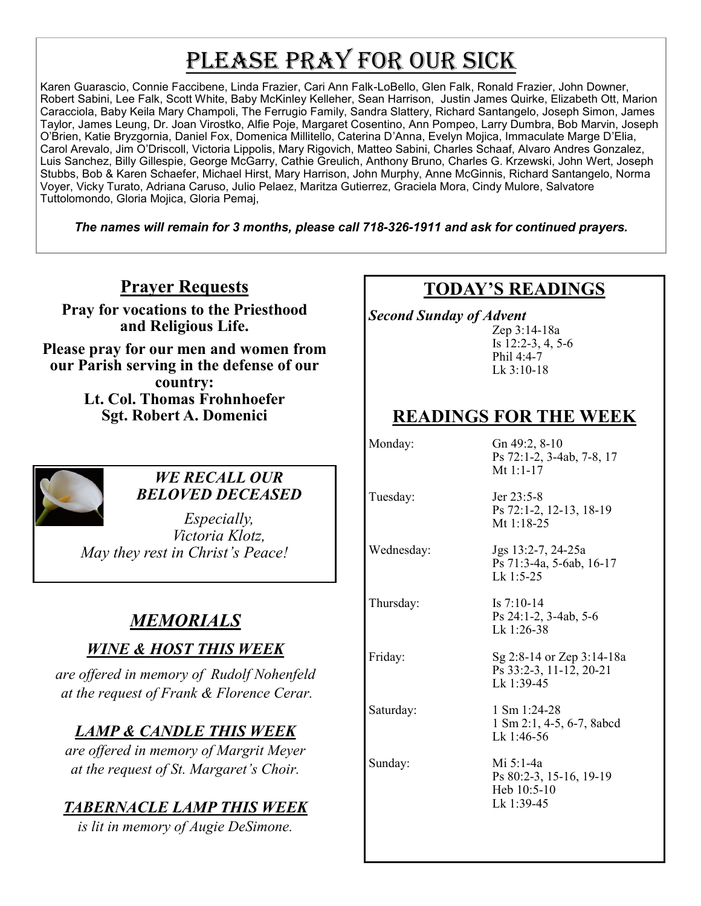# PLEASE PRAY FOR OUR SICK

Karen Guarascio, Connie Faccibene, Linda Frazier, Cari Ann Falk-LoBello, Glen Falk, Ronald Frazier, John Downer, Robert Sabini, Lee Falk, Scott White, Baby McKinley Kelleher, Sean Harrison, Justin James Quirke, Elizabeth Ott, Marion Caracciola, Baby Keila Mary Champoli, The Ferrugio Family, Sandra Slattery, Richard Santangelo, Joseph Simon, James Taylor, James Leung, Dr. Joan Virostko, Alfie Poje, Margaret Cosentino, Ann Pompeo, Larry Dumbra, Bob Marvin, Joseph O'Brien, Katie Bryzgornia, Daniel Fox, Domenica Millitello, Caterina D'Anna, Evelyn Mojica, Immaculate Marge D'Elia, Carol Arevalo, Jim O'Driscoll, Victoria Lippolis, Mary Rigovich, Matteo Sabini, Charles Schaaf, Alvaro Andres Gonzalez, Luis Sanchez, Billy Gillespie, George McGarry, Cathie Greulich, Anthony Bruno, Charles G. Krzewski, John Wert, Joseph Stubbs, Bob & Karen Schaefer, Michael Hirst, Mary Harrison, John Murphy, Anne McGinnis, Richard Santangelo, Norma Voyer, Vicky Turato, Adriana Caruso, Julio Pelaez, Maritza Gutierrez, Graciela Mora, Cindy Mulore, Salvatore Tuttolomondo, Gloria Mojica, Gloria Pemaj,

*The names will remain for 3 months, please call 718-326-1911 and ask for continued prayers.*

## **Prayer Requests**

**Pray for vocations to the Priesthood and Religious Life.** 

**Please pray for our men and women from our Parish serving in the defense of our country: Lt. Col. Thomas Frohnhoefer Sgt. Robert A. Domenici** 



#### *WE RECALL OUR BELOVED DECEASED*

*Especially, Victoria Klotz, May they rest in Christ's Peace!*

# *MEMORIALS*

## *WINE & HOST THIS WEEK*

*are offered in memory of Rudolf Nohenfeld at the request of Frank & Florence Cerar.*

# *LAMP & CANDLE THIS WEEK*

*are offered in memory of Margrit Meyer at the request of St. Margaret's Choir.*

## *TABERNACLE LAMP THIS WEEK*

*is lit in memory of Augie DeSimone.* 

# **TODAY'S READINGS**

*Second Sunday of Advent* 

Zep 3:14-18a Is 12:2-3, 4, 5-6 Phil 4:4-7 Lk 3:10-18

# **READINGS FOR THE WEEK**

Mt 1:18-25

Lk 1:5-25

Lk 1:26-38

Monday: Gn 49:2, 8-10 Ps 72:1-2, 3-4ab, 7-8, 17 Mt 1:1-17

Ps 72:1-2, 12-13, 18-19

Ps 71:3-4a, 5-6ab, 16-17

Ps 24:1-2, 3-4ab, 5-6

Tuesday: Jer 23:5-8

Wednesday: Jgs 13:2-7, 24-25a

Thursday: Is 7:10-14

Friday: Sg 2:8-14 or Zep 3:14-18a

Ps 33:2-3, 11-12, 20-21 Lk 1:39-45 Saturday: 1 Sm 1:24-28

1 Sm 2:1, 4-5, 6-7, 8abcd Lk 1:46-56

Sunday: Mi 5:1-4a Ps 80:2-3, 15-16, 19-19 Heb 10:5-10 Lk 1:39-45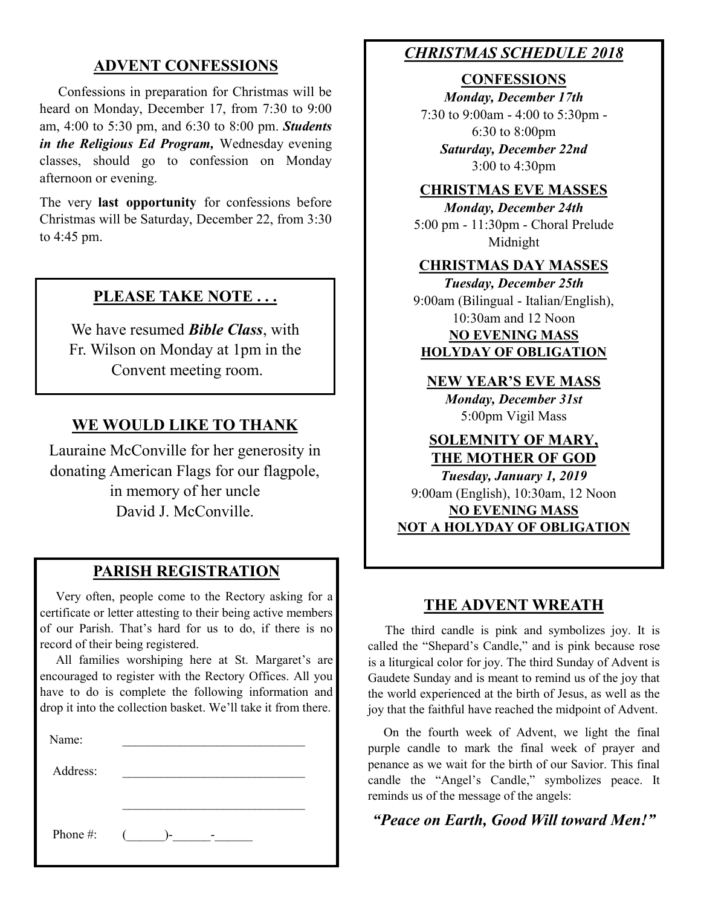### **ADVENT CONFESSIONS**

 Confessions in preparation for Christmas will be heard on Monday, December 17, from 7:30 to 9:00 am, 4:00 to 5:30 pm, and 6:30 to 8:00 pm. *Students in the Religious Ed Program,* Wednesday evening classes, should go to confession on Monday afternoon or evening.

The very **last opportunity** for confessions before Christmas will be Saturday, December 22, from 3:30 to 4:45 pm.

#### **PLEASE TAKE NOTE . . .**

We have resumed *Bible Class*, with Fr. Wilson on Monday at 1pm in the Convent meeting room.

#### **WE WOULD LIKE TO THANK**

Lauraine McConville for her generosity in donating American Flags for our flagpole, in memory of her uncle David J. McConville.

#### **PARISH REGISTRATION**

 Very often, people come to the Rectory asking for a certificate or letter attesting to their being active members of our Parish. That's hard for us to do, if there is no record of their being registered.

 All families worshiping here at St. Margaret's are encouraged to register with the Rectory Offices. All you have to do is complete the following information and drop it into the collection basket. We'll take it from there.

| Name:    |        |
|----------|--------|
| Address: |        |
|          |        |
| Phone #: | $($ )- |

#### *CHRISTMAS SCHEDULE 2018*

#### **CONFESSIONS**

*Monday, December 17th* 7:30 to 9:00am - 4:00 to 5:30pm - 6:30 to 8:00pm *Saturday, December 22nd* 3:00 to 4:30pm

#### **CHRISTMAS EVE MASSES**

*Monday, December 24th* 5:00 pm - 11:30pm - Choral Prelude Midnight

#### **CHRISTMAS DAY MASSES**

*Tuesday, December 25th* 9:00am (Bilingual - Italian/English), 10:30am and 12 Noon **NO EVENING MASS HOLYDAY OF OBLIGATION**

**NEW YEAR'S EVE MASS** *Monday, December 31st* 5:00pm Vigil Mass

#### **SOLEMNITY OF MARY, THE MOTHER OF GOD**

*Tuesday, January 1, 2019* 9:00am (English), 10:30am, 12 Noon **NO EVENING MASS NOT A HOLYDAY OF OBLIGATION**

#### **THE ADVENT WREATH**

 The third candle is pink and symbolizes joy. It is called the "Shepard's Candle," and is pink because rose is a liturgical color for joy. The third Sunday of Advent is Gaudete Sunday and is meant to remind us of the joy that the world experienced at the birth of Jesus, as well as the joy that the faithful have reached the midpoint of Advent.

 On the fourth week of Advent, we light the final purple candle to mark the final week of prayer and penance as we wait for the birth of our Savior. This final candle the "Angel's Candle," symbolizes peace. It reminds us of the message of the angels:

*"Peace on Earth, Good Will toward Men!"*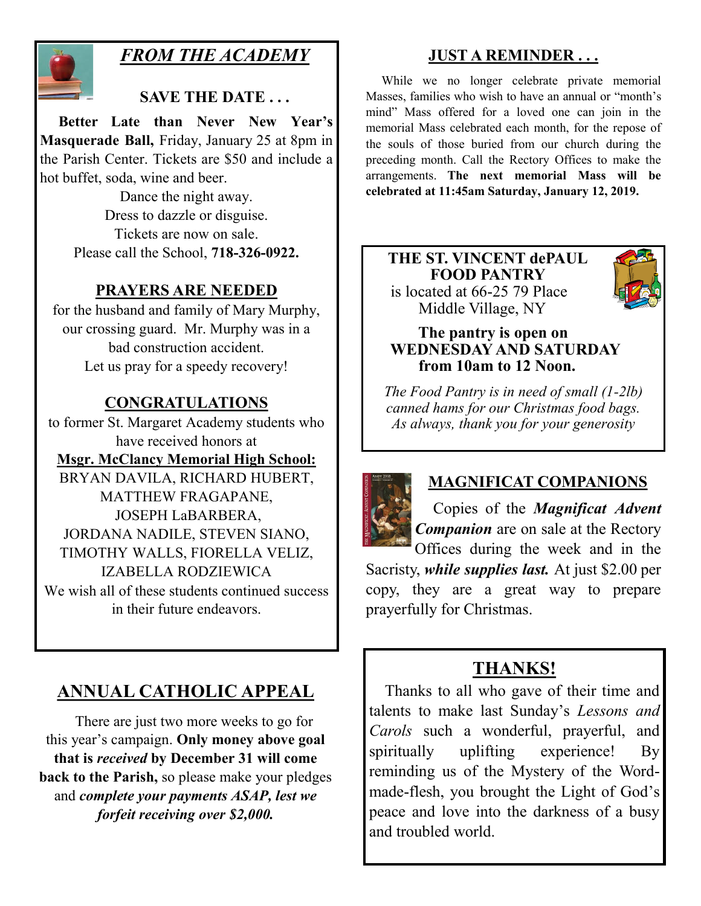

# *FROM THE ACADEMY*

## **SAVE THE DATE . . .**

 **Better Late than Never New Year's Masquerade Ball,** Friday, January 25 at 8pm in the Parish Center. Tickets are \$50 and include a hot buffet, soda, wine and beer.

> Dance the night away. Dress to dazzle or disguise. Tickets are now on sale. Please call the School, **718-326-0922.**

#### **PRAYERS ARE NEEDED**

for the husband and family of Mary Murphy, our crossing guard. Mr. Murphy was in a bad construction accident. Let us pray for a speedy recovery!

## **CONGRATULATIONS**

to former St. Margaret Academy students who have received honors at **Msgr. McClancy Memorial High School:** BRYAN DAVILA, RICHARD HUBERT, MATTHEW FRAGAPANE, JOSEPH LaBARBERA, JORDANA NADILE, STEVEN SIANO, TIMOTHY WALLS, FIORELLA VELIZ, IZABELLA RODZIEWICA We wish all of these students continued success in their future endeavors.

# **ANNUAL CATHOLIC APPEAL**

 There are just two more weeks to go for this year's campaign. **Only money above goal that is** *received* **by December 31 will come back to the Parish,** so please make your pledges and *complete your payments ASAP, lest we forfeit receiving over \$2,000.* 

## **JUST A REMINDER . . .**

 While we no longer celebrate private memorial Masses, families who wish to have an annual or "month's mind" Mass offered for a loved one can join in the memorial Mass celebrated each month, for the repose of the souls of those buried from our church during the preceding month. Call the Rectory Offices to make the arrangements. **The next memorial Mass will be celebrated at 11:45am Saturday, January 12, 2019.** 

#### **THE ST. VINCENT dePAUL FOOD PANTRY** is located at 66-25 79 Place Middle Village, NY



#### **The pantry is open on WEDNESDAY AND SATURDAY from 10am to 12 Noon.**

*The Food Pantry is in need of small (1-2lb) canned hams for our Christmas food bags. As always, thank you for your generosity*



## **MAGNIFICAT COMPANIONS**

 Copies of the *Magnificat Advent Companion* are on sale at the Rectory Offices during the week and in the Sacristy, *while supplies last.* At just \$2.00 per

copy, they are a great way to prepare prayerfully for Christmas.

# **THANKS!**

 Thanks to all who gave of their time and talents to make last Sunday's *Lessons and Carols* such a wonderful, prayerful, and spiritually uplifting experience! By reminding us of the Mystery of the Wordmade-flesh, you brought the Light of God's peace and love into the darkness of a busy and troubled world.